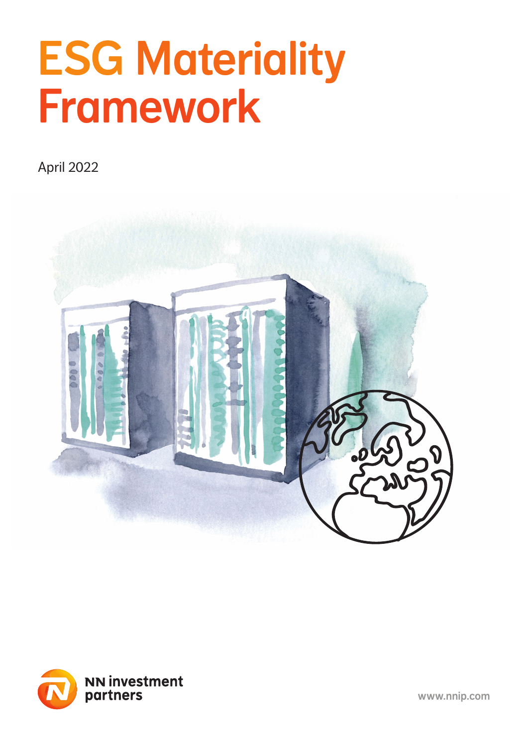# ESG Materiality Framework

April 2022





www.nnip.com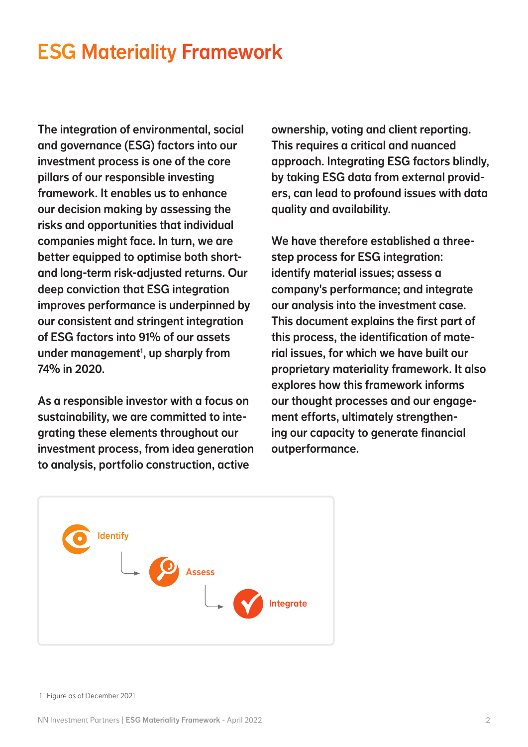# ESG Materiality Framework

The integration of environmental, social and governance (ESG) factors into our investment process is one of the core pillars of our responsible investing framework. It enables us to enhance our decision making by assessing the risks and opportunities that individual companies might face. In turn, we are better equipped to optimise both shortand long-term risk-adjusted returns. Our deep conviction that ESG integration improves performance is underpinned by our consistent and stringent integration of ESG factors into 91% of our assets under management<sup>1</sup>, up sharply from 74% in 2020.

As a responsible investor with a focus on sustainability, we are committed to integrating these elements throughout our investment process, from idea generation to analysis, portfolio construction, active

ownership, voting and client reporting. This requires a critical and nuanced approach. Integrating ESG factors blindly, by taking ESG data from external providers, can lead to profound issues with data quality and availability.

We have therefore established a threestep process for ESG integration: identify material issues; assess a company's performance; and integrate our analysis into the investment case. This document explains the first part of this process, the identification of material issues, for which we have built our proprietary materiality framework. It also explores how this framework informs our thought processes and our engagement efforts, ultimately strengthening our capacity to generate financial outperformance.



1 Figure as of December 2021.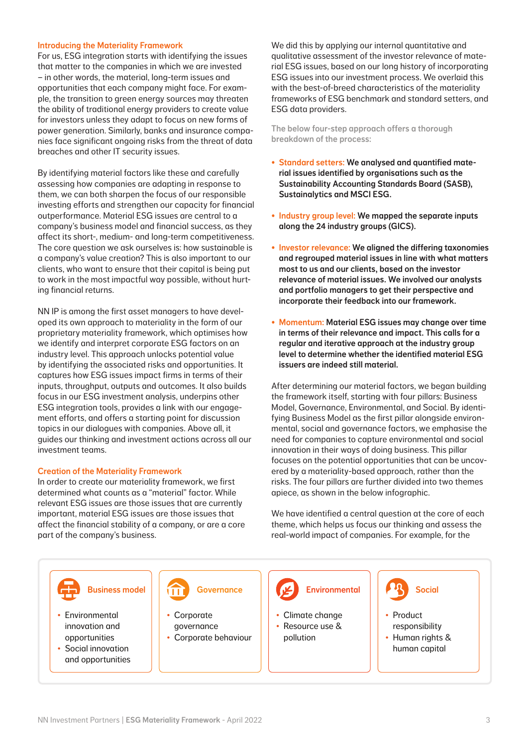# Introducing the Materiality Framework

For us, ESG integration starts with identifying the issues that matter to the companies in which we are invested – in other words, the material, long-term issues and opportunities that each company might face. For example, the transition to green energy sources may threaten the ability of traditional energy providers to create value for investors unless they adapt to focus on new forms of power generation. Similarly, banks and insurance companies face significant ongoing risks from the threat of data breaches and other IT security issues.

By identifying material factors like these and carefully assessing how companies are adapting in response to them, we can both sharpen the focus of our responsible investing efforts and strengthen our capacity for financial outperformance. Material ESG issues are central to a company's business model and financial success, as they affect its short-, medium- and long-term competitiveness. The core question we ask ourselves is: how sustainable is a company's value creation? This is also important to our clients, who want to ensure that their capital is being put to work in the most impactful way possible, without hurting financial returns.

NN IP is among the first asset managers to have developed its own approach to materiality in the form of our proprietary materiality framework, which optimises how we identify and interpret corporate ESG factors on an industry level. This approach unlocks potential value by identifying the associated risks and opportunities. It captures how ESG issues impact firms in terms of their inputs, throughput, outputs and outcomes. It also builds focus in our ESG investment analysis, underpins other ESG integration tools, provides a link with our engagement efforts, and offers a starting point for discussion topics in our dialogues with companies. Above all, it guides our thinking and investment actions across all our investment teams.

# Creation of the Materiality Framework

In order to create our materiality framework, we first determined what counts as a "material" factor. While relevant ESG issues are those issues that are currently important, material ESG issues are those issues that affect the financial stability of a company, or are a core part of the company's business.

We did this by applying our internal quantitative and qualitative assessment of the investor relevance of material ESG issues, based on our long history of incorporating ESG issues into our investment process. We overlaid this with the best-of-breed characteristics of the materiality frameworks of ESG benchmark and standard setters, and ESG data providers.

The below four-step approach offers a thorough breakdown of the process:

- Standard setters: We analysed and quantified material issues identified by organisations such as the Sustainability Accounting Standards Board (SASB), Sustainalytics and MSCI ESG.
- Industry group level: We mapped the separate inputs along the 24 industry groups (GICS).
- Investor relevance: We aligned the differing taxonomies and regrouped material issues in line with what matters most to us and our clients, based on the investor relevance of material issues. We involved our analysts and portfolio managers to get their perspective and incorporate their feedback into our framework.
- Momentum: Material ESG issues may change over time in terms of their relevance and impact. This calls for a regular and iterative approach at the industry group level to determine whether the identified material ESG issuers are indeed still material.

After determining our material factors, we began building the framework itself, starting with four pillars: Business Model, Governance, Environmental, and Social. By identifying Business Model as the first pillar alongside environmental, social and governance factors, we emphasise the need for companies to capture environmental and social innovation in their ways of doing business. This pillar focuses on the potential opportunities that can be uncovered by a materiality-based approach, rather than the risks. The four pillars are further divided into two themes apiece, as shown in the below infographic.

We have identified a central question at the core of each theme, which helps us focus our thinking and assess the real-world impact of companies. For example, for the

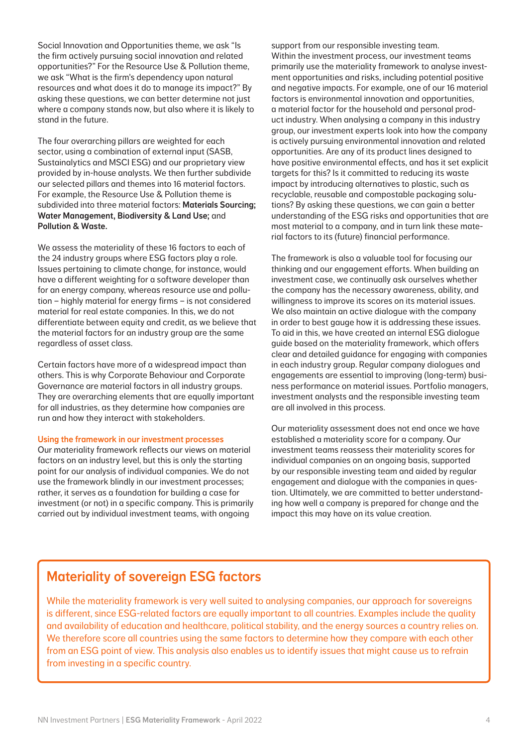Social Innovation and Opportunities theme, we ask "Is the firm actively pursuing social innovation and related opportunities?" For the Resource Use & Pollution theme, we ask "What is the firm's dependency upon natural resources and what does it do to manage its impact?" By asking these questions, we can better determine not just where a company stands now, but also where it is likely to stand in the future.

The four overarching pillars are weighted for each sector, using a combination of external input (SASB, Sustainalytics and MSCI ESG) and our proprietary view provided by in-house analysts. We then further subdivide our selected pillars and themes into 16 material factors. For example, the Resource Use & Pollution theme is subdivided into three material factors: Materials Sourcing; Water Management, Biodiversity & Land Use; and Pollution & Waste.

We assess the materiality of these 16 factors to each of the 24 industry groups where ESG factors play a role. Issues pertaining to climate change, for instance, would have a different weighting for a software developer than for an energy company, whereas resource use and pollution – highly material for energy firms – is not considered material for real estate companies. In this, we do not differentiate between equity and credit, as we believe that the material factors for an industry group are the same regardless of asset class.

Certain factors have more of a widespread impact than others. This is why Corporate Behaviour and Corporate Governance are material factors in all industry groups. They are overarching elements that are equally important for all industries, as they determine how companies are run and how they interact with stakeholders.

### Using the framework in our investment processes

Our materiality framework reflects our views on material factors on an industry level, but this is only the starting point for our analysis of individual companies. We do not use the framework blindly in our investment processes; rather, it serves as a foundation for building a case for investment (or not) in a specific company. This is primarily carried out by individual investment teams, with ongoing

support from our responsible investing team. Within the investment process, our investment teams primarily use the materiality framework to analyse investment opportunities and risks, including potential positive and negative impacts. For example, one of our 16 material factors is environmental innovation and opportunities, a material factor for the household and personal product industry. When analysing a company in this industry group, our investment experts look into how the company is actively pursuing environmental innovation and related opportunities. Are any of its product lines designed to have positive environmental effects, and has it set explicit targets for this? Is it committed to reducing its waste impact by introducing alternatives to plastic, such as recyclable, reusable and compostable packaging solutions? By asking these questions, we can gain a better understanding of the ESG risks and opportunities that are most material to a company, and in turn link these material factors to its (future) financial performance.

The framework is also a valuable tool for focusing our thinking and our engagement efforts. When building an investment case, we continually ask ourselves whether the company has the necessary awareness, ability, and willingness to improve its scores on its material issues. We also maintain an active dialogue with the company in order to best gauge how it is addressing these issues. To aid in this, we have created an internal ESG dialogue guide based on the materiality framework, which offers clear and detailed guidance for engaging with companies in each industry group. Regular company dialogues and engagements are essential to improving (long-term) business performance on material issues. Portfolio managers, investment analysts and the responsible investing team are all involved in this process.

Our materiality assessment does not end once we have established a materiality score for a company. Our investment teams reassess their materiality scores for individual companies on an ongoing basis, supported by our responsible investing team and aided by regular engagement and dialogue with the companies in question. Ultimately, we are committed to better understanding how well a company is prepared for change and the impact this may have on its value creation.

# Materiality of sovereign ESG factors

While the materiality framework is very well suited to analysing companies, our approach for sovereigns is different, since ESG-related factors are equally important to all countries. Examples include the quality and availability of education and healthcare, political stability, and the energy sources a country relies on. We therefore score all countries using the same factors to determine how they compare with each other from an ESG point of view. This analysis also enables us to identify issues that might cause us to refrain from investing in a specific country.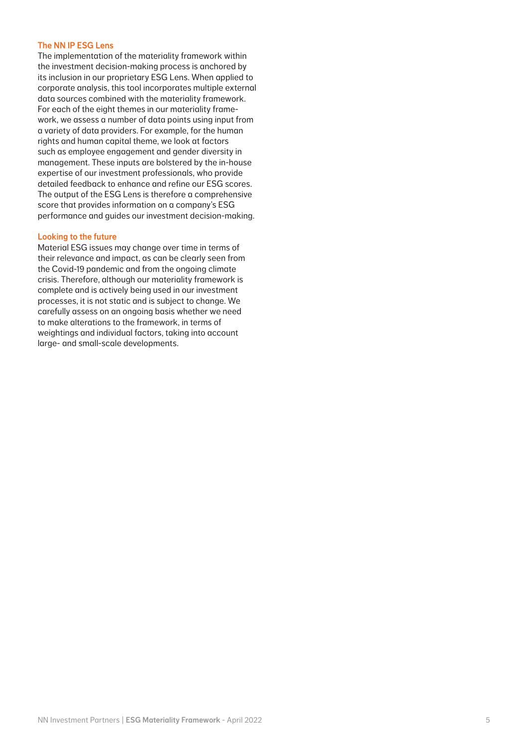# The NN IP ESG Lens

The implementation of the materiality framework within the investment decision-making process is anchored by its inclusion in our proprietary ESG Lens. When applied to corporate analysis, this tool incorporates multiple external data sources combined with the materiality framework. For each of the eight themes in our materiality framework, we assess a number of data points using input from a variety of data providers. For example, for the human rights and human capital theme, we look at factors such as employee engagement and gender diversity in management. These inputs are bolstered by the in-house expertise of our investment professionals, who provide detailed feedback to enhance and refine our ESG scores. The output of the ESG Lens is therefore a comprehensive score that provides information on a company's ESG performance and guides our investment decision-making.

# Looking to the future

Material ESG issues may change over time in terms of their relevance and impact, as can be clearly seen from the Covid-19 pandemic and from the ongoing climate crisis. Therefore, although our materiality framework is complete and is actively being used in our investment processes, it is not static and is subject to change. We carefully assess on an ongoing basis whether we need to make alterations to the framework, in terms of weightings and individual factors, taking into account large- and small-scale developments.